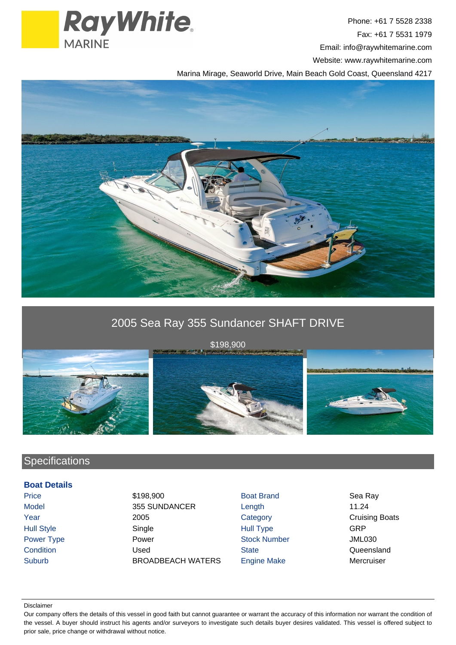

Phone: +61 7 5528 2338 Fax: +61 7 5531 1979 Email: info@raywhitemarine.com Website: www.raywhitemarine.com

Marina Mirage, Seaworld Drive, Main Beach Gold Coast, Queensland 4217



# 2005 Sea Ray 355 Sundancer SHAFT DRIVE



\$198,900



## **Specifications**

#### **Boat Details**

Price \$198,900 Boat Brand Sea Ray Model 355 SUNDANCER Length 11.24 Year 2005 2005 Category Category Cruising Boats Hull Style Single Hull Type GRP Power Type **Power Power Stock Number Stock Number** Power All Power Stock Number All Power Power Stock Number Condition Condition Condition Condition Condition Condition Cueensland Suburb BROADBEACH WATERS Engine Make Mercruiser

#### Disclaimer

Our company offers the details of this vessel in good faith but cannot guarantee or warrant the accuracy of this information nor warrant the condition of the vessel. A buyer should instruct his agents and/or surveyors to investigate such details buyer desires validated. This vessel is offered subject to prior sale, price change or withdrawal without notice.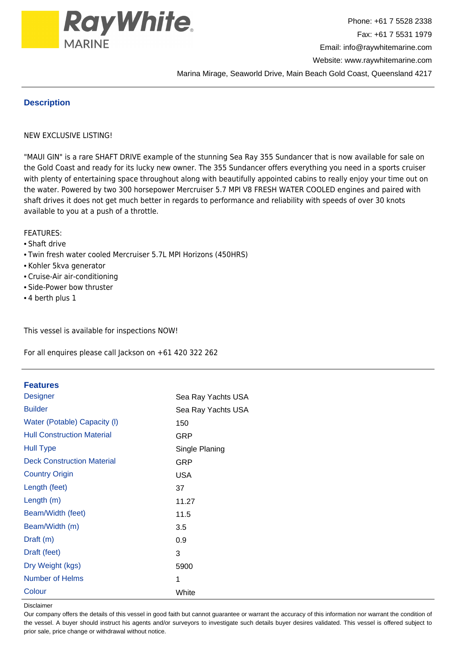

### **Description**

#### NEW EXCLUSIVE LISTING!

"MAUI GIN" is a rare SHAFT DRIVE example of the stunning Sea Ray 355 Sundancer that is now available for sale on the Gold Coast and ready for its lucky new owner. The 355 Sundancer offers everything you need in a sports cruiser with plenty of entertaining space throughout along with beautifully appointed cabins to really enjoy your time out on the water. Powered by two 300 horsepower Mercruiser 5.7 MPI V8 FRESH WATER COOLED engines and paired with shaft drives it does not get much better in regards to performance and reliability with speeds of over 30 knots available to you at a push of a throttle.

#### FEATURES:

#### • Shaft drive

- Twin fresh water cooled Mercruiser 5.7L MPI Horizons (450HRS)
- Kohler 5kva generator
- Cruise-Air air-conditioning
- Side-Power bow thruster
- 4 berth plus 1

This vessel is available for inspections NOW!

For all enquires please call Jackson on +61 420 322 262

#### **Features**

| <b>Designer</b>                   | Sea Ray Yachts USA |
|-----------------------------------|--------------------|
| <b>Builder</b>                    | Sea Ray Yachts USA |
| Water (Potable) Capacity (I)      | 150                |
| <b>Hull Construction Material</b> | GRP                |
| <b>Hull Type</b>                  | Single Planing     |
| <b>Deck Construction Material</b> | GRP                |
| <b>Country Origin</b>             | <b>USA</b>         |
| Length (feet)                     | 37                 |
| Length $(m)$                      | 11.27              |
| Beam/Width (feet)                 | 11.5               |
| Beam/Width (m)                    | 3.5                |
| Draft (m)                         | 0.9                |
| Draft (feet)                      | 3                  |
| Dry Weight (kgs)                  | 5900               |
| Number of Helms                   | 1                  |
| Colour                            | White              |

Disclaimer

Our company offers the details of this vessel in good faith but cannot guarantee or warrant the accuracy of this information nor warrant the condition of the vessel. A buyer should instruct his agents and/or surveyors to investigate such details buyer desires validated. This vessel is offered subject to prior sale, price change or withdrawal without notice.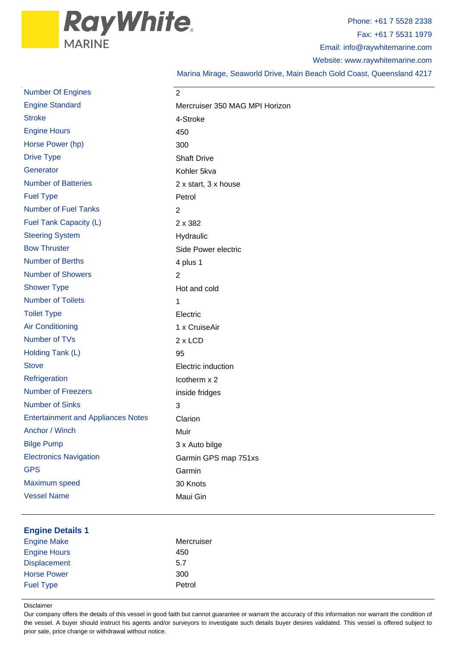

Phone: +61 7 5528 2338 Fax: +61 7 5531 1979 Email: info@raywhitemarine.com Website: www.raywhitemarine.com

Marina Mirage, Seaworld Drive, Main Beach Gold Coast, Queensland 4217

| <b>Number Of Engines</b>                      | 2                              |
|-----------------------------------------------|--------------------------------|
| <b>Engine Standard</b>                        | Mercruiser 350 MAG MPI Horizon |
| <b>Stroke</b>                                 | 4-Stroke                       |
| <b>Engine Hours</b>                           | 450                            |
| Horse Power (hp)                              | 300                            |
| <b>Drive Type</b>                             | <b>Shaft Drive</b>             |
| Generator                                     | Kohler 5kva                    |
| <b>Number of Batteries</b>                    | 2 x start, 3 x house           |
| <b>Fuel Type</b>                              | Petrol                         |
| <b>Number of Fuel Tanks</b>                   | $\overline{2}$                 |
| Fuel Tank Capacity (L)                        | 2 x 382                        |
| <b>Steering System</b>                        | Hydraulic                      |
| <b>Bow Thruster</b>                           | Side Power electric            |
| <b>Number of Berths</b>                       | 4 plus 1                       |
| <b>Number of Showers</b>                      | $\overline{2}$                 |
| <b>Shower Type</b>                            | Hot and cold                   |
| <b>Number of Toilets</b>                      | 1                              |
| <b>Toilet Type</b>                            | Electric                       |
| <b>Air Conditioning</b>                       | 1 x CruiseAir                  |
| Number of TVs                                 | 2 x LCD                        |
| Holding Tank (L)                              | 95                             |
| <b>Stove</b>                                  | Electric induction             |
| Refrigeration                                 | Icotherm x 2                   |
| <b>Number of Freezers</b>                     | inside fridges                 |
| <b>Number of Sinks</b>                        | 3                              |
| <b>Entertainment and Appliances Notes</b>     | Clarion                        |
| Anchor / Winch                                | Muir                           |
| <b>Bilge Pump</b>                             | 3 x Auto bilge                 |
| <b>Electronics Navigation</b>                 | Garmin GPS map 751xs           |
| <b>GPS</b>                                    | Garmin                         |
| Maximum speed                                 | 30 Knots                       |
| <b>Vessel Name</b>                            | Maui Gin                       |
|                                               |                                |
| <b>Engine Details 1</b><br><b>Engine Make</b> | Mercruiser                     |
| <b>Engine Hours</b>                           | 450                            |
| <b>Displacement</b>                           | 5.7                            |
| <b>Horse Power</b>                            | 300                            |
| <b>Fuel Type</b>                              | Petrol                         |

Disclaimer

Our company offers the details of this vessel in good faith but cannot guarantee or warrant the accuracy of this information nor warrant the condition of the vessel. A buyer should instruct his agents and/or surveyors to investigate such details buyer desires validated. This vessel is offered subject to prior sale, price change or withdrawal without notice.